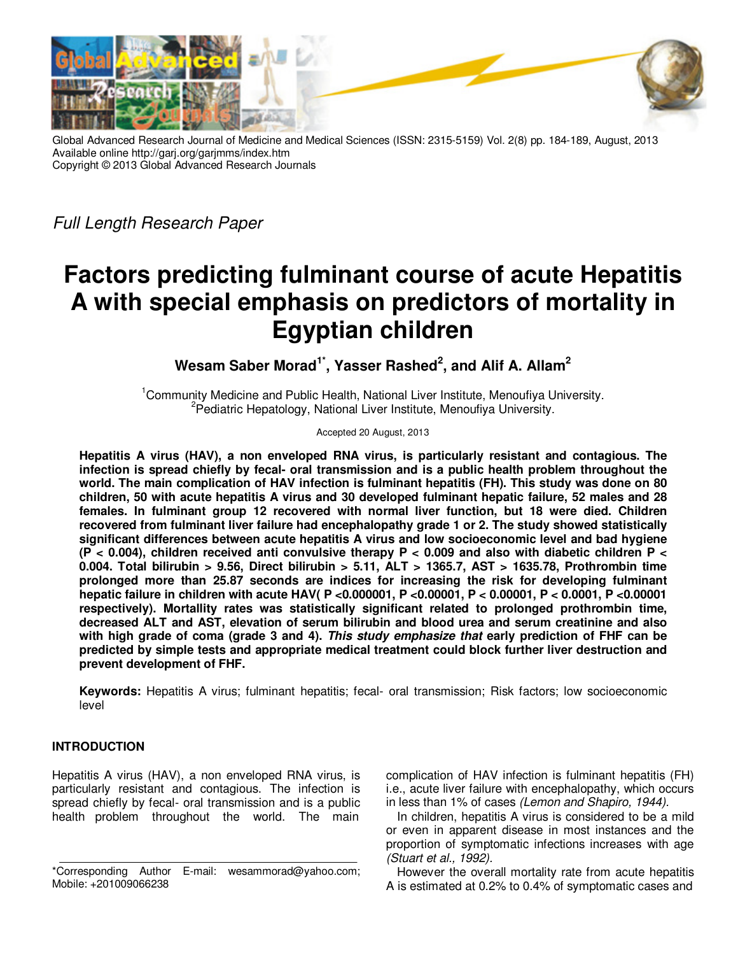

Global Advanced Research Journal of Medicine and Medical Sciences (ISSN: 2315-5159) Vol. 2(8) pp. 184-189, August, 2013 Available online http://garj.org/garjmms/index.htm Copyright © 2013 Global Advanced Research Journals

Full Length Research Paper

# **Factors predicting fulminant course of acute Hepatitis A with special emphasis on predictors of mortality in Egyptian children**

**Wesam Saber Morad1\*, Yasser Rashed<sup>2</sup> , and Alif A. Allam<sup>2</sup>**

<sup>1</sup>Community Medicine and Public Health, National Liver Institute, Menoufiya University. <sup>2</sup>Pediatric Hepatology, National Liver Institute, Menoufiya University.

Accepted 20 August, 2013

**Hepatitis A virus (HAV), a non enveloped RNA virus, is particularly resistant and contagious. The infection is spread chiefly by fecal- oral transmission and is a public health problem throughout the world. The main complication of HAV infection is fulminant hepatitis (FH). This study was done on 80 children, 50 with acute hepatitis A virus and 30 developed fulminant hepatic failure, 52 males and 28 females. In fulminant group 12 recovered with normal liver function, but 18 were died. Children recovered from fulminant liver failure had encephalopathy grade 1 or 2. The study showed statistically significant differences between acute hepatitis A virus and low socioeconomic level and bad hygiene (P < 0.004), children received anti convulsive therapy P < 0.009 and also with diabetic children P < 0.004. Total bilirubin > 9.56, Direct bilirubin > 5.11, ALT > 1365.7, AST > 1635.78, Prothrombin time prolonged more than 25.87 seconds are indices for increasing the risk for developing fulminant hepatic failure in children with acute HAV( P <0.000001, P <0.00001, P < 0.00001, P < 0.0001, P <0.00001 respectively). Mortallity rates was statistically significant related to prolonged prothrombin time, decreased ALT and AST, elevation of serum bilirubin and blood urea and serum creatinine and also with high grade of coma (grade 3 and 4). This study emphasize that early prediction of FHF can be predicted by simple tests and appropriate medical treatment could block further liver destruction and prevent development of FHF.** 

**Keywords:** Hepatitis A virus; fulminant hepatitis; fecal- oral transmission; Risk factors; low socioeconomic level

# **INTRODUCTION**

Hepatitis A virus (HAV), a non enveloped RNA virus, is particularly resistant and contagious. The infection is spread chiefly by fecal- oral transmission and is a public health problem throughout the world. The main

complication of HAV infection is fulminant hepatitis (FH) i.e., acute liver failure with encephalopathy, which occurs in less than 1% of cases (Lemon and Shapiro, 1944).

In children, hepatitis A virus is considered to be a mild or even in apparent disease in most instances and the proportion of symptomatic infections increases with age (Stuart et al., 1992).

However the overall mortality rate from acute hepatitis A is estimated at 0.2% to 0.4% of symptomatic cases and

<sup>\*</sup>Corresponding Author E-mail: wesammorad@yahoo.com; Mobile: +201009066238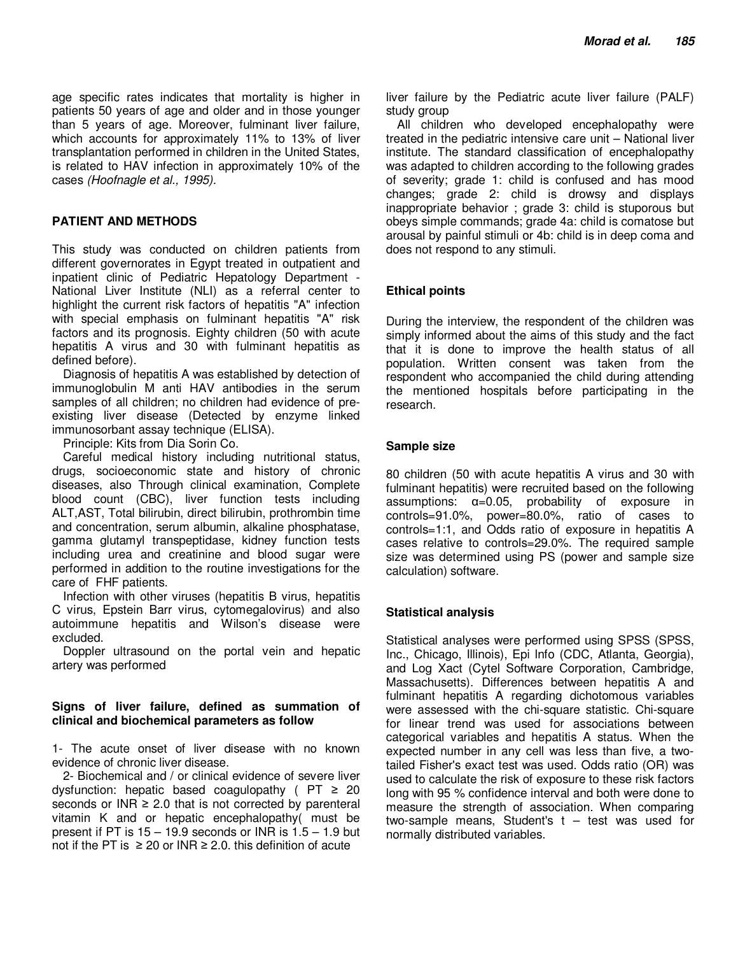age specific rates indicates that mortality is higher in patients 50 years of age and older and in those younger than 5 years of age. Moreover, fulminant liver failure, which accounts for approximately 11% to 13% of liver transplantation performed in children in the United States, is related to HAV infection in approximately 10% of the cases (Hoofnagle et al., 1995).

## **PATIENT AND METHODS**

This study was conducted on children patients from different governorates in Egypt treated in outpatient and inpatient clinic of Pediatric Hepatology Department - National Liver Institute (NLI) as a referral center to highlight the current risk factors of hepatitis "A" infection with special emphasis on fulminant hepatitis "A" risk factors and its prognosis. Eighty children (50 with acute hepatitis A virus and 30 with fulminant hepatitis as defined before).

Diagnosis of hepatitis A was established by detection of immunoglobulin M anti HAV antibodies in the serum samples of all children; no children had evidence of preexisting liver disease (Detected by enzyme linked immunosorbant assay technique (ELISA).

Principle: Kits from Dia Sorin Co.

Careful medical history including nutritional status, drugs, socioeconomic state and history of chronic diseases, also Through clinical examination, Complete blood count (CBC), liver function tests including ALT,AST, Total bilirubin, direct bilirubin, prothrombin time and concentration, serum albumin, alkaline phosphatase, gamma glutamyl transpeptidase, kidney function tests including urea and creatinine and blood sugar were performed in addition to the routine investigations for the care of FHF patients.

Infection with other viruses (hepatitis B virus, hepatitis C virus, Epstein Barr virus, cytomegalovirus) and also autoimmune hepatitis and Wilson's disease were excluded.

Doppler ultrasound on the portal vein and hepatic artery was performed

# **Signs of liver failure, defined as summation of clinical and biochemical parameters as follow**

1- The acute onset of liver disease with no known evidence of chronic liver disease.

2- Biochemical and / or clinical evidence of severe liver dysfunction: hepatic based coagulopathy ( $PT \geq 20$ seconds or  $INR \geq 2.0$  that is not corrected by parenteral vitamin K and or hepatic encephalopathy( must be present if PT is  $15 - 19.9$  seconds or INR is  $1.5 - 1.9$  but not if the PT is  $\geq 20$  or INR  $\geq 2.0$ . this definition of acute

liver failure by the Pediatric acute liver failure (PALF) study group

All children who developed encephalopathy were treated in the pediatric intensive care unit – National liver institute. The standard classification of encephalopathy was adapted to children according to the following grades of severity; grade 1: child is confused and has mood changes; grade 2: child is drowsy and displays inappropriate behavior ; grade 3: child is stuporous but obeys simple commands; grade 4a: child is comatose but arousal by painful stimuli or 4b: child is in deep coma and does not respond to any stimuli.

# **Ethical points**

During the interview, the respondent of the children was simply informed about the aims of this study and the fact that it is done to improve the health status of all population. Written consent was taken from the respondent who accompanied the child during attending the mentioned hospitals before participating in the research.

## **Sample size**

80 children (50 with acute hepatitis A virus and 30 with fulminant hepatitis) were recruited based on the following assumptions:  $\alpha = 0.05$ , probability of exposure in controls=91.0%, power=80.0%, ratio of cases to controls=1:1, and Odds ratio of exposure in hepatitis A cases relative to controls=29.0%. The required sample size was determined using PS (power and sample size calculation) software.

# **Statistical analysis**

Statistical analyses were performed using SPSS (SPSS, Inc., Chicago, Illinois), Epi lnfo (CDC, Atlanta, Georgia), and Log Xact (Cytel Software Corporation, Cambridge, Massachusetts). Differences between hepatitis A and fulminant hepatitis A regarding dichotomous variables were assessed with the chi-square statistic. Chi-square for linear trend was used for associations between categorical variables and hepatitis A status. When the expected number in any cell was less than five, a twotailed Fisher's exact test was used. Odds ratio (OR) was used to calculate the risk of exposure to these risk factors long with 95 % confidence interval and both were done to measure the strength of association. When comparing two-sample means, Student's  $t - \text{test}$  was used for normally distributed variables.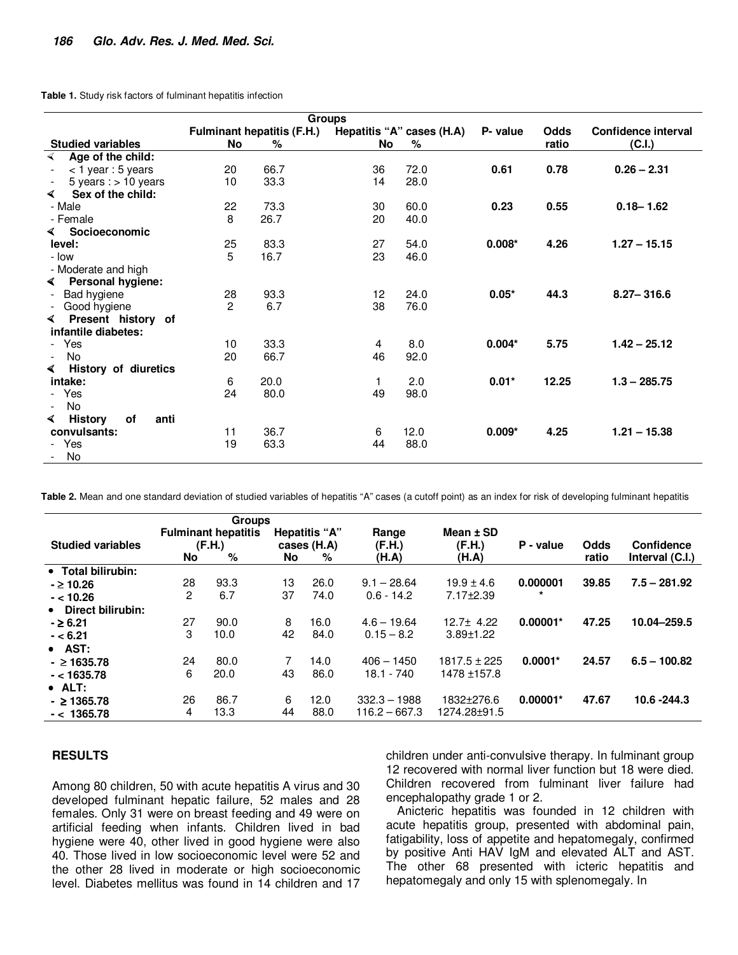**Table 1.** Study risk factors of fulminant hepatitis infection

|                                           | <b>Fulminant hepatitis (F.H.)</b> | Hepatitis "A" cases (H.A) | P- value | <b>Odds</b> | Confidence interval |       |                |
|-------------------------------------------|-----------------------------------|---------------------------|----------|-------------|---------------------|-------|----------------|
| <b>Studied variables</b>                  | <b>No</b>                         | %                         | No       | %           |                     | ratio | (C.I.)         |
| Age of the child:<br>$\blacktriangleleft$ |                                   |                           |          |             |                     |       |                |
| $<$ 1 year : 5 years                      | 20                                | 66.7                      | 36       | 72.0        | 0.61                | 0.78  | $0.26 - 2.31$  |
| 5 years : $> 10$ years                    | 10                                | 33.3                      | 14       | 28.0        |                     |       |                |
| Sex of the child:<br>◀                    |                                   |                           |          |             |                     |       |                |
| - Male                                    | 22                                | 73.3                      | 30       | 60.0        | 0.23                | 0.55  | $0.18 - 1.62$  |
| - Female                                  | 8                                 | 26.7                      | 20       | 40.0        |                     |       |                |
| Socioeconomic<br>◀                        |                                   |                           |          |             |                     |       |                |
| level:                                    | 25                                | 83.3                      | 27       | 54.0        | $0.008*$            | 4.26  | $1.27 - 15.15$ |
| - Iow                                     | 5                                 | 16.7                      | 23       | 46.0        |                     |       |                |
| - Moderate and high                       |                                   |                           |          |             |                     |       |                |
| Personal hygiene:<br>$\blacktriangleleft$ |                                   |                           |          |             |                     |       |                |
| Bad hygiene                               | 28                                | 93.3                      | 12       | 24.0        | $0.05*$             | 44.3  | $8.27 - 316.6$ |
| Good hygiene<br>$\overline{\phantom{a}}$  | 2                                 | 6.7                       | 38       | 76.0        |                     |       |                |
| Present history of<br>◀                   |                                   |                           |          |             |                     |       |                |
| infantile diabetes:                       |                                   |                           |          |             |                     |       |                |
| - Yes                                     | 10                                | 33.3                      | 4        | 8.0         | $0.004*$            | 5.75  | $1.42 - 25.12$ |
| No<br>$\overline{\phantom{a}}$            | 20                                | 66.7                      | 46       | 92.0        |                     |       |                |
| History of diuretics<br>◀                 |                                   |                           |          |             |                     |       |                |
| intake:                                   | 6                                 | 20.0                      | 1        | 2.0         | $0.01*$             | 12.25 | $1.3 - 285.75$ |
| - Yes                                     | 24                                | 80.0                      | 49       | 98.0        |                     |       |                |
| No<br>$\overline{\phantom{a}}$            |                                   |                           |          |             |                     |       |                |
| <b>History</b><br>of<br>anti<br>◀         |                                   |                           |          |             |                     |       |                |
| convulsants:                              | 11                                | 36.7                      | 6        | 12.0        | $0.009*$            | 4.25  | $1.21 - 15.38$ |
| - Yes                                     | 19                                | 63.3                      | 44       | 88.0        |                     |       |                |
| No                                        |                                   |                           |          |             |                     |       |                |

Table 2. Mean and one standard deviation of studied variables of hepatitis "A" cases (a cutoff point) as an index for risk of developing fulminant hepatitis

|                          |           | Groups                               |    |                              |                 |                       |            |       |                 |
|--------------------------|-----------|--------------------------------------|----|------------------------------|-----------------|-----------------------|------------|-------|-----------------|
| <b>Studied variables</b> |           | <b>Fulminant hepatitis</b><br>(F.H.) |    | Hepatitis "A"<br>cases (H.A) | Range<br>(F.H.) | Mean $±$ SD<br>(F.H.) | P - value  | Odds  | Confidence      |
|                          | <b>No</b> | %                                    | No | %                            | (H.A)           | (H.A)                 |            | ratio | Interval (C.I.) |
| • Total bilirubin:       |           |                                      |    |                              |                 |                       |            |       |                 |
| $-$ 2 10.26              | 28        | 93.3                                 | 13 | 26.0                         | $9.1 - 28.64$   | $19.9 \pm 4.6$        | 0.000001   | 39.85 | $7.5 - 281.92$  |
| $- < 10.26$              | 2         | 6.7                                  | 37 | 74.0                         | $0.6 - 14.2$    | $7.17 \pm 2.39$       | $\star$    |       |                 |
| • Direct bilirubin:      |           |                                      |    |                              |                 |                       |            |       |                 |
| $-26.21$                 | 27        | 90.0                                 | 8  | 16.0                         | $4.6 - 19.64$   | $12.7 \pm 4.22$       | $0.00001*$ | 47.25 | 10.04-259.5     |
| $- < 6.21$               | 3         | 10.0                                 | 42 | 84.0                         | $0.15 - 8.2$    | $3.89 \pm 1.22$       |            |       |                 |
| $\bullet$ AST:           |           |                                      |    |                              |                 |                       |            |       |                 |
| $-21635.78$              | 24        | 80.0                                 |    | 14.0                         | $406 - 1450$    | $1817.5 \pm 225$      | $0.0001*$  | 24.57 | $6.5 - 100.82$  |
| $- < 1635.78$            | 6         | 20.0                                 | 43 | 86.0                         | $18.1 - 740$    | 1478 ±157.8           |            |       |                 |
| $\bullet$ ALT:           |           |                                      |    |                              |                 |                       |            |       |                 |
| $-$ 21365.78             | 26        | 86.7                                 | 6  | 12.0                         | $332.3 - 1988$  | 1832±276.6            | $0.00001*$ | 47.67 | 10.6 - 244.3    |
| $- < 1365.78$            | 4         | 13.3                                 | 44 | 88.0                         | $116.2 - 667.3$ | 1274.28±91.5          |            |       |                 |

#### **RESULTS**

Among 80 children, 50 with acute hepatitis A virus and 30 developed fulminant hepatic failure, 52 males and 28 females. Only 31 were on breast feeding and 49 were on artificial feeding when infants. Children lived in bad hygiene were 40, other lived in good hygiene were also 40. Those lived in low socioeconomic level were 52 and the other 28 lived in moderate or high socioeconomic level. Diabetes mellitus was found in 14 children and 17 children under anti-convulsive therapy. In fulminant group 12 recovered with normal liver function but 18 were died. Children recovered from fulminant liver failure had encephalopathy grade 1 or 2.

Anicteric hepatitis was founded in 12 children with acute hepatitis group, presented with abdominal pain, fatigability, loss of appetite and hepatomegaly, confirmed by positive Anti HAV IgM and elevated ALT and AST. The other 68 presented with icteric hepatitis and hepatomegaly and only 15 with splenomegaly. In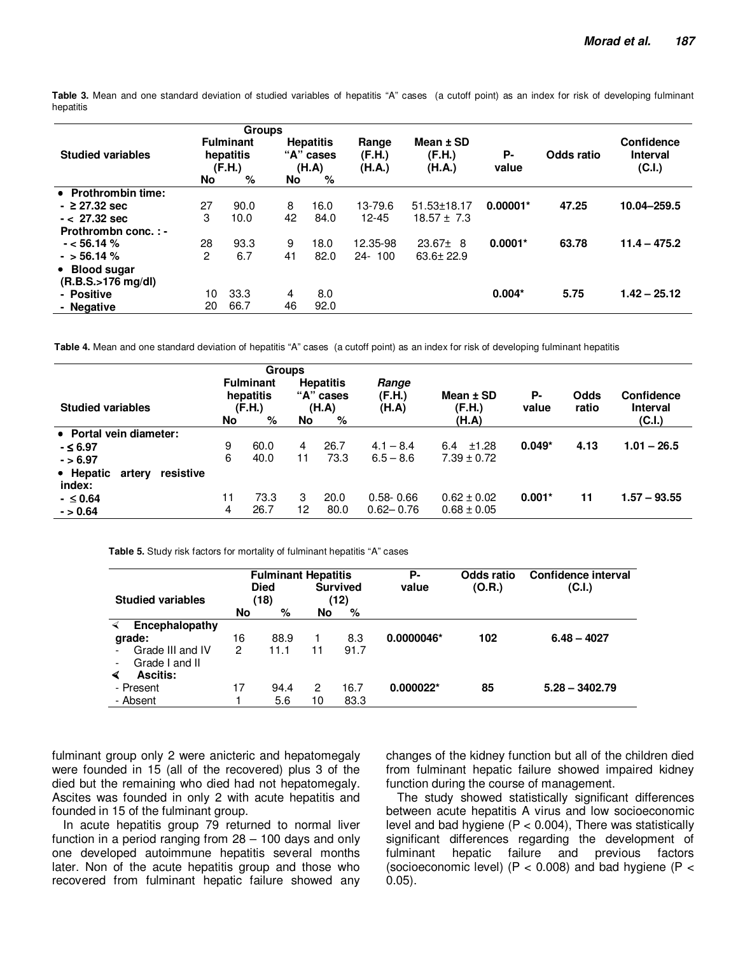**Table 3.** Mean and one standard deviation of studied variables of hepatitis "A" cases (a cutoff point) as an index for risk of developing fulminant hepatitis

|                                |    | <b>Groups</b>                           |    |                                        |                           |                                 |             |            |                                         |
|--------------------------------|----|-----------------------------------------|----|----------------------------------------|---------------------------|---------------------------------|-------------|------------|-----------------------------------------|
| <b>Studied variables</b>       |    | <b>Fulminant</b><br>hepatitis<br>(F.H.) |    | <b>Hepatitis</b><br>"A" cases<br>(H.A) | Range<br>(F.H.)<br>(H.A.) | Mean $±$ SD<br>(F.H.)<br>(H.A.) | Р-<br>value | Odds ratio | Confidence<br><b>Interval</b><br>(C.I.) |
|                                | No | %                                       | No | %                                      |                           |                                 |             |            |                                         |
| • Prothrombin time:            |    |                                         |    |                                        |                           |                                 |             |            |                                         |
| $-$ 27.32 sec                  | 27 | 90.0                                    | 8  | 16.0                                   | 13-79.6                   | $51.53 \pm 18.17$               | $0.00001*$  | 47.25      | 10.04-259.5                             |
| $- < 27.32$ sec                | 3  | 10.0                                    | 42 | 84.0                                   | $12 - 45$                 | $18.57 \pm 7.3$                 |             |            |                                         |
| Prothrombn conc.:-             |    |                                         |    |                                        |                           |                                 |             |            |                                         |
| $-$ < 56.14 %                  | 28 | 93.3                                    | 9  | 18.0                                   | 12.35-98                  | $23.67 \pm 8$                   | $0.0001*$   | 63.78      | $11.4 - 475.2$                          |
| $-$ > 56.14 %                  | 2  | 6.7                                     | 41 | 82.0                                   | $24 - 100$                | $63.6 \pm 22.9$                 |             |            |                                         |
| • Blood sugar                  |    |                                         |    |                                        |                           |                                 |             |            |                                         |
| $(R.B.S. > 176 \text{ ma/dl})$ |    |                                         |    |                                        |                           |                                 |             |            |                                         |
| - Positive                     | 10 | 33.3                                    | 4  | 8.0                                    |                           |                                 | $0.004*$    | 5.75       | $1.42 - 25.12$                          |
| - Negative                     | 20 | 66.7                                    | 46 | 92.0                                   |                           |                                 |             |            |                                         |

 **Table 4.** Mean and one standard deviation of hepatitis "A" cases (a cutoff point) as an index for risk of developing fulminant hepatitis

|                                            |    | <b>Groups</b>                                |           |                                             |                          |                              |             |               |                                         |
|--------------------------------------------|----|----------------------------------------------|-----------|---------------------------------------------|--------------------------|------------------------------|-------------|---------------|-----------------------------------------|
| <b>Studied variables</b>                   | No | <b>Fulminant</b><br>hepatitis<br>(F.H.)<br>% | <b>No</b> | <b>Hepatitis</b><br>"A" cases<br>(H.A)<br>% | Range<br>(F.H.)<br>(H.A) | Mean ± SD<br>(F.H.)<br>(H.A) | Р-<br>value | Odds<br>ratio | Confidence<br><b>Interval</b><br>(C.I.) |
| • Portal vein diameter:                    |    |                                              |           |                                             |                          |                              |             |               |                                         |
| $-5.97$                                    | 9  | 60.0                                         | 4         | 26.7                                        | $4.1 - 8.4$              | ±1.28<br>6.4                 | $0.049*$    | 4.13          | $1.01 - 26.5$                           |
| $- > 6.97$                                 | 6  | 40.0                                         | 11        | 73.3                                        | $6.5 - 8.6$              | $7.39 \pm 0.72$              |             |               |                                         |
| • Hepatic<br>resistive<br>artery<br>index: |    |                                              |           |                                             |                          |                              |             |               |                                         |
| $- \le 0.64$                               | 11 | 73.3                                         | 3         | 20.0                                        | $0.58 - 0.66$            | $0.62 \pm 0.02$              | $0.001*$    | 11            | $1.57 - 93.55$                          |
| $- > 0.64$                                 | 4  | 26.7                                         | 12        | 80.0                                        | $0.62 - 0.76$            | $0.68 \pm 0.05$              |             |               |                                         |

 **Table 5.** Study risk factors for mortality of fulminant hepatitis "A" cases

| <b>Studied variables</b>                   |    | <b>Fulminant Hepatitis</b><br><b>Died</b><br>(18) |    | <b>Survived</b><br>(12) | Р-<br>value  | Odds ratio<br>(O.R.) | Confidence interval<br>(C.I.) |  |
|--------------------------------------------|----|---------------------------------------------------|----|-------------------------|--------------|----------------------|-------------------------------|--|
|                                            | No | %                                                 | No | %                       |              |                      |                               |  |
| Encephalopathy                             |    |                                                   |    |                         |              |                      |                               |  |
| grade:                                     | 16 | 88.9                                              |    | 8.3                     | $0.0000046*$ | 102                  | $6.48 - 4027$                 |  |
| Grade III and IV                           | 2  | 11.1                                              | 11 | 91.7                    |              |                      |                               |  |
| Grade I and II<br>$\overline{\phantom{a}}$ |    |                                                   |    |                         |              |                      |                               |  |
| <b>Ascitis:</b><br>∢                       |    |                                                   |    |                         |              |                      |                               |  |
| - Present                                  | 17 | 94.4                                              | 2  | 16.7                    | $0.000022*$  | 85                   | $5.28 - 3402.79$              |  |
| - Absent                                   |    | 5.6                                               | 10 | 83.3                    |              |                      |                               |  |

fulminant group only 2 were anicteric and hepatomegaly were founded in 15 (all of the recovered) plus 3 of the died but the remaining who died had not hepatomegaly. Ascites was founded in only 2 with acute hepatitis and founded in 15 of the fulminant group.

In acute hepatitis group 79 returned to normal liver function in a period ranging from 28 – 100 days and only one developed autoimmune hepatitis several months later. Non of the acute hepatitis group and those who recovered from fulminant hepatic failure showed any changes of the kidney function but all of the children died from fulminant hepatic failure showed impaired kidney function during the course of management.

The study showed statistically significant differences between acute hepatitis A virus and low socioeconomic level and bad hygiene  $(P < 0.004)$ , There was statistically significant differences regarding the development of fulminant hepatic failure and previous factors (socioeconomic level) ( $P < 0.008$ ) and bad hygiene ( $P <$ 0.05).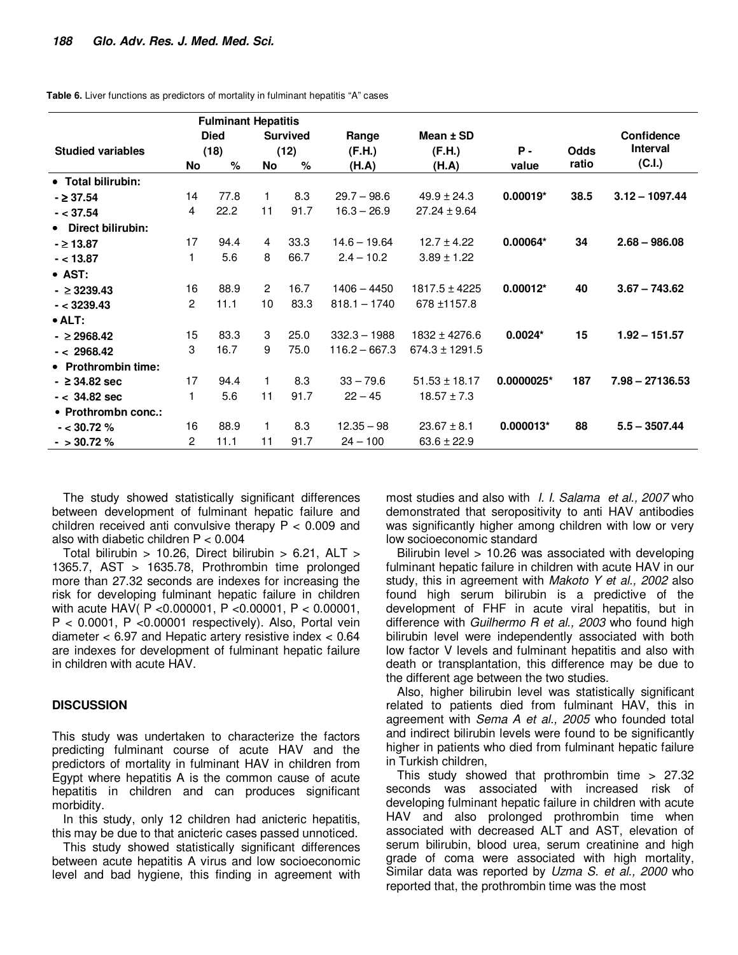|  |  | Table 6. Liver functions as predictors of mortality in fulminant hepatitis "A" cases |
|--|--|--------------------------------------------------------------------------------------|
|--|--|--------------------------------------------------------------------------------------|

|                          |                                | <b>Fulminant Hepatitis</b> |                    |      |                 |                    |             |             |                   |
|--------------------------|--------------------------------|----------------------------|--------------------|------|-----------------|--------------------|-------------|-------------|-------------------|
|                          | <b>Died</b><br><b>Survived</b> |                            | Range<br>Mean ± SD |      |                 |                    | Confidence  |             |                   |
| <b>Studied variables</b> |                                | (18)                       |                    | (12) | (F.H.)          | (F.H.)             | <b>P</b> -  | <b>Odds</b> | Interval          |
|                          | No                             | $\%$                       | No                 | $\%$ | (H.A)           | (H.A)              | value       | ratio       | (C.I.)            |
| • Total bilirubin:       |                                |                            |                    |      |                 |                    |             |             |                   |
| $-237.54$                | 14                             | 77.8                       | 1.                 | 8.3  | $29.7 - 98.6$   | $49.9 \pm 24.3$    | $0.00019*$  | 38.5        | $3.12 - 1097.44$  |
| $- < 37.54$              | 4                              | 22.2                       | 11                 | 91.7 | $16.3 - 26.9$   | $27.24 \pm 9.64$   |             |             |                   |
| • Direct bilirubin:      |                                |                            |                    |      |                 |                    |             |             |                   |
| $- \ge 13.87$            | 17                             | 94.4                       | 4                  | 33.3 | $14.6 - 19.64$  | $12.7 \pm 4.22$    | 0.00064*    | 34          | $2.68 - 986.08$   |
| $- < 13.87$              | 1                              | 5.6                        | 8                  | 66.7 | $2.4 - 10.2$    | $3.89 \pm 1.22$    |             |             |                   |
| • AST:                   |                                |                            |                    |      |                 |                    |             |             |                   |
| $-23239.43$              | 16                             | 88.9                       | $\overline{2}$     | 16.7 | $1406 - 4450$   | $1817.5 \pm 4225$  | $0.00012*$  | 40          | $3.67 - 743.62$   |
| $- < 3239.43$            | $\overline{2}$                 | 11.1                       | 10                 | 83.3 | $818.1 - 1740$  | 678 ±1157.8        |             |             |                   |
| $\bullet$ ALT:           |                                |                            |                    |      |                 |                    |             |             |                   |
| $-2968.42$               | 15                             | 83.3                       | 3                  | 25.0 | $332.3 - 1988$  | $1832 \pm 4276.6$  | $0.0024*$   | 15          | $1.92 - 151.57$   |
| $- < 2968.42$            | 3                              | 16.7                       | 9                  | 75.0 | $116.2 - 667.3$ | $674.3 \pm 1291.5$ |             |             |                   |
| • Prothrombin time:      |                                |                            |                    |      |                 |                    |             |             |                   |
| $ \geq$ 34.82 sec        | 17                             | 94.4                       | 1.                 | 8.3  | $33 - 79.6$     | $51.53 \pm 18.17$  | 0.0000025*  | 187         | $7.98 - 27136.53$ |
| $- < 34.82$ sec          | 1                              | 5.6                        | 11                 | 91.7 | $22 - 45$       | $18.57 \pm 7.3$    |             |             |                   |
| • Prothrombn conc.:      |                                |                            |                    |      |                 |                    |             |             |                   |
| $-$ < 30.72 %            | 16                             | 88.9                       | 1.                 | 8.3  | $12.35 - 98$    | $23.67 \pm 8.1$    | $0.000013*$ | 88          | $5.5 - 3507.44$   |
| $-$ > 30.72 %            | $\overline{2}$                 | 11.1                       | 11                 | 91.7 | $24 - 100$      | $63.6 \pm 22.9$    |             |             |                   |

The study showed statistically significant differences between development of fulminant hepatic failure and children received anti convulsive therapy  $P < 0.009$  and also with diabetic children P < 0.004

Total bilirubin > 10.26, Direct bilirubin > 6.21,  $ALT$  > 1365.7, AST > 1635.78, Prothrombin time prolonged more than 27.32 seconds are indexes for increasing the risk for developing fulminant hepatic failure in children with acute HAV( P <0.000001, P <0.00001, P < 0.00001, P < 0.0001, P <0.00001 respectively). Also, Portal vein diameter < 6.97 and Hepatic artery resistive index < 0.64 are indexes for development of fulminant hepatic failure in children with acute HAV.

#### **DISCUSSION**

This study was undertaken to characterize the factors predicting fulminant course of acute HAV and the predictors of mortality in fulminant HAV in children from Egypt where hepatitis A is the common cause of acute hepatitis in children and can produces significant morbidity.

In this study, only 12 children had anicteric hepatitis, this may be due to that anicteric cases passed unnoticed.

This study showed statistically significant differences between acute hepatitis A virus and low socioeconomic level and bad hygiene, this finding in agreement with most studies and also with *I. I. Salama et al., 2007* who demonstrated that seropositivity to anti HAV antibodies was significantly higher among children with low or very low socioeconomic standard

Bilirubin level > 10.26 was associated with developing fulminant hepatic failure in children with acute HAV in our study, this in agreement with Makoto Y et al., 2002 also found high serum bilirubin is a predictive of the development of FHF in acute viral hepatitis, but in difference with Guilhermo R et al., 2003 who found high bilirubin level were independently associated with both low factor V levels and fulminant hepatitis and also with death or transplantation, this difference may be due to the different age between the two studies.

Also, higher bilirubin level was statistically significant related to patients died from fulminant HAV, this in agreement with Sema A et al., 2005 who founded total and indirect bilirubin levels were found to be significantly higher in patients who died from fulminant hepatic failure in Turkish children,

This study showed that prothrombin time > 27.32 seconds was associated with increased risk of developing fulminant hepatic failure in children with acute HAV and also prolonged prothrombin time when associated with decreased ALT and AST, elevation of serum bilirubin, blood urea, serum creatinine and high grade of coma were associated with high mortality, Similar data was reported by Uzma S. et al., 2000 who reported that, the prothrombin time was the most